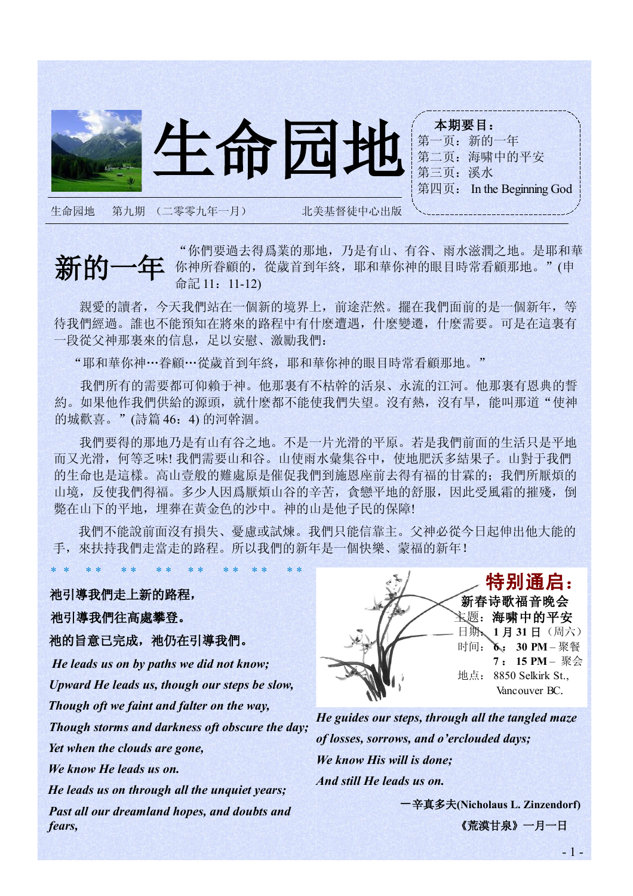

新的

"你們要過去得爲業的那地,乃是有山、有谷、雨水滋潤之地。是耶和華 你神所眷顧的,從歲首到年終,耶和華你神的眼目時常看顧那地。"(申 命記 11:11-12)

親愛的讀者,今天我們站在一個新的境界上,前途茫然。擺在我們面前的是一個新年,等 待我們經過。誰也不能預知在將來的路程中有什麽遭遇,什麽變遷,什麽需要。可是在這裏有 一段從父神那裏來的信息,足以安慰、激勵我們:

"耶和華你神…眷顧…從歲首到年終,耶和華你神的眼目時常看顧那地。"

 我們所有的需要都可仰賴于神。他那裏有不枯幹的活泉、永流的江河。他那裏有恩典的誓 約。如果他作我們供給的源頭,就什麽都不能使我們失望。沒有熱,沒有旱,能叫那道"使神 的城歡喜。"(詩篇 46:4) 的河幹涸。

 我們要得的那地乃是有山有谷之地。不是一片光滑的平原。若是我們前面的生活只是平地 而又光滑,何等乏味! 我們需要山和谷。山使雨水彙集谷中,使地肥沃多結果子。山對于我們 的生命也是這樣。高山壹般的難處原是催促我們到施恩座前去得有福的甘霖的;我們所厭煩的 山境,反使我們得福。多少人因爲厭煩山谷的辛苦,貪戀平地的舒服,因此受風霜的摧殘,倒 斃在山下的平地,埋葬在黃金色的沙中。神的山是他子民的保障!

我們不能說前面沒有損失、憂慮或試煉。我們只能信靠主。父神必從今日起伸出他大能的 手,來扶持我們走當走的路程。所以我們的新年是一個快樂、蒙福的新年!

祂引導我們走上新的路程, 祂引導我們往高處攀登。 祂的旨意已完成,祂仍在引導我們。 *He leads us on by paths we did not know; Upward He leads us, though our steps be slow, Though oft we faint and falter on the way, Though storms and darkness oft obscure the day; Yet when the clouds are gone, We know He leads us on. He leads us on through all the unquiet years; Past all our dreamland hopes, and doubts and fears,*

\* \* \* \* \* \* \* \* \* \* \* \* \* \* \* \*



*He guides our steps, through all the tangled maze of losses, sorrows, and o'erclouded days; We know His will is done; And still He leads us on.*

> ―辛真多夫**(Nicholaus L. Zinzendorf)** 《荒漠甘泉》一月一日

> > $-1 -$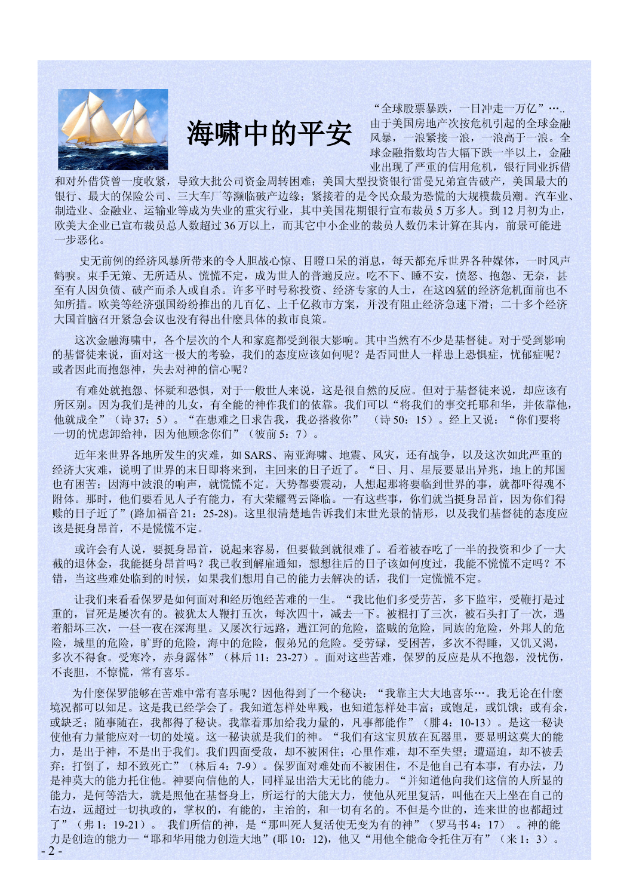

海啸中的平安

"全球股票暴跌,一日冲走一万亿"….. 由于美国房地产次按危机引起的全球金融 风暴,一浪紧接一浪,一浪高于一浪。全 球金融指数均告大幅下跌一半以上,金融 业出现了严重的信用危机,银行同业拆借

和对外借贷曾一度收紧,导致大批公司资金周转困难;美国大型投资银行雷曼兄弟宣告破产,美国最大的 银行、最大的保险公司、三大车厂等濒临破产边缘;紧接着的是令民众最为恐慌的大规模裁员潮。汽车业、 制造业、金融业、运输业等成为失业的重灾行业,其中美国花期银行宣布裁员 5 万多人。到 12 月初为止, 欧美大企业已宣布裁员总人数超过 36 万以上,而其它中小企业的裁员人数仍未计算在其内,前景可能进 一步恶化。

史无前例的经济风暴所带来的令人胆战心惊、目瞪口呆的消息,每天都充斥世界各种媒体,一时风声 鹤唳。束手无策、无所适从、慌慌不定,成为世人的普遍反应。吃不下、睡不安,愤怒、抱怨、无奈,甚 至有人因负债、破产而杀人或自杀。许多平时号称投资、经济专家的人士,在这凶猛的经济危机面前也不 知所措。欧美等经济强国纷纷推出的几百亿、上千亿救市方案,并没有阻止经济急速下滑;二十多个经济 大国首脑召开紧急会议也没有得出什麽具体的救市良策。

 这次金融海啸中,各个层次的个人和家庭都受到很大影响。其中当然有不少是基督徒。对于受到影响 的基督徒来说,面对这一极大的考验,我们的态度应该如何呢?是否同世人一样患上恐惧症,忧郁症呢? 或者因此而抱怨神,失去对神的信心呢?

 有难处就抱怨、怀疑和恐惧,对于一般世人来说,这是很自然的反应。但对于基督徒来说,却应该有 所区别。因为我们是神的儿女,有全能的神作我们的依靠。我们可以"将我们的事交托耶和华,并依靠他, 他就成全"(诗 37:5)。"在患难之日求告我,我必搭救你"(诗 50:15)。经上又说:"你们要将 一切的忧虑卸给神,因为他顾念你们"(彼前 5:7)。

近年来世界各地所发生的灾难,如 SARS、南亚海啸、地震、风灾,还有战争,以及这次如此严重的 经济大灾难,说明了世界的末日即将来到,主回来的日子近了。"日、月、星辰要显出异兆,地上的邦国 也有困苦;因海中波浪的响声,就慌慌不定。天势都要震动,人想起那将要临到世界的事,就都吓得魂不 附体。那时,他们要看见人子有能力,有大荣耀驾云降临。一有这些事,你们就当挺身昂首,因为你们得 赎的日子近了"(路加福音 21: 25-28)。这里很清楚地告诉我们末世光景的情形, 以及我们基督徒的态度应 该是挺身昂首,不是慌慌不定。

 或许会有人说,要挺身昂首,说起来容易,但要做到就很难了。看着被吞吃了一半的投资和少了一大 截的退休金,我能挺身昂首吗?我已收到解雇通知,想想往后的日子该如何度过,我能不慌慌不定吗?不 错,当这些难处临到的时候,如果我们想用自己的能力去解决的话,我们一定慌慌不定。

让我们来看看保罗是如何面对和经历饱经苦难的一生。"我比他们多受劳苦,多下监牢,受鞭打是过 重的,冒死是屡次有的。被犹太人鞭打五次,每次四十,减去一下。被棍打了三次,被石头打了一次,遇 着船坏三次,一昼一夜在深海里。又屡次行远路,遭江河的危险,盗贼的危险,同族的危险,外邦人的危 险,城里的危险,旷野的危险,海中的危险,假弟兄的危险。受劳碌,受困苦,多次不得睡,又饥又渴, 多次不得食。受寒冷,赤身露体"(林后 11: 23-27)。面对这些苦难,保罗的反应是从不抱怨,没忧伤, 不丧胆,不惊慌,常有喜乐。

 $-2-$ 为什麽保罗能够在苦难中常有喜乐呢?因他得到了一个秘诀: "我靠主大大地喜乐…。我无论在什麽 境况都可以知足。这是我已经学会了。我知道怎样处卑贱,也知道怎样处丰富;或饱足,或饥饿;或有余, 或缺乏;随事随在,我都得了秘诀。我靠着那加给我力量的,凡事都能作"(腓 4:10-13)。是这一秘诀 使他有力量能应对一切的处境。这一秘诀就是我们的神。"我们有这宝贝放在瓦器里,要显明这莫大的能 力,是出于神,不是出于我们。我们四面受敌,却不被困住;心里作难,却不至失望;遭逼迫,却不被丢 弃;打倒了,却不致死亡"(林后 4:7-9)。保罗面对难处而不被困住,不是他自己有本事,有办法,乃 是神莫大的能力托住他。神要向信他的人,同样显出浩大无比的能力。"并知道他向我们这信的人所显的 能力,是何等浩大,就是照他在基督身上,所运行的大能大力,使他从死里复活,叫他在天上坐在自己的 右边,远超过一切执政的,掌权的,有能的,主治的,和一切有名的。不但是今世的,连来世的也都超过 了"(弗 1:19-21)。 我们所信的神,是"那叫死人复活使无变为有的神"(罗马书 4:17) 。神的能 力是创造的能力—"耶和华用能力创造大地"(耶 10: 12),他又"用他全能命令托住万有"(来 1:3)。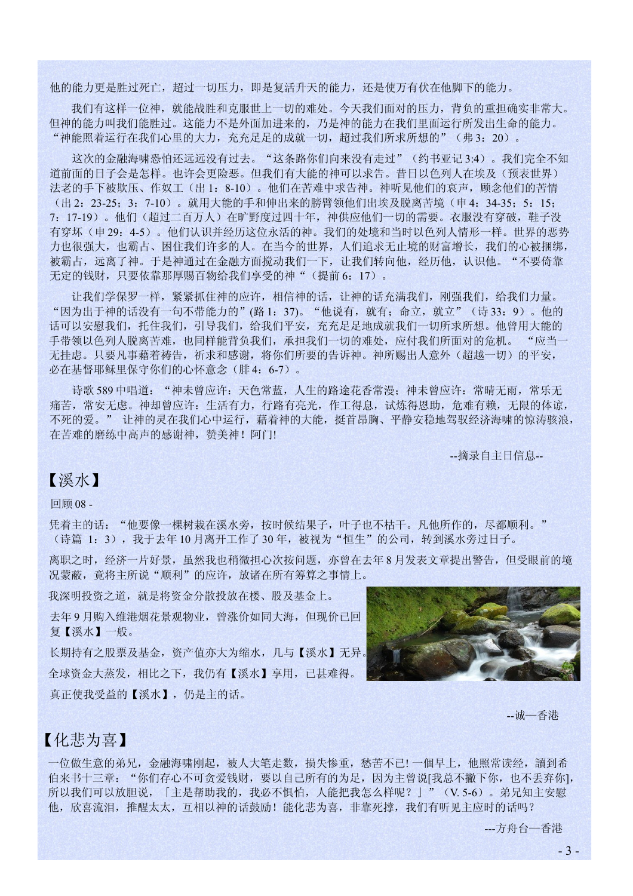他的能力更是胜过死亡,超过一切压力,即是复活升天的能力,还是使万有伏在他脚下的能力。

 我们有这样一位神,就能战胜和克服世上一切的难处。今天我们面对的压力,背负的重担确实非常大。 但神的能力叫我们能胜过。这能力不是外面加进来的,乃是神的能力在我们里面运行所发出生命的能力。 "神能照着运行在我们心里的大力,充充足足的成就一切,超过我们所求所想的"(弗 3:20)。

 这次的金融海啸恐怕还远远没有过去。"这条路你们向来没有走过"(约书亚记 3:4)。我们完全不知 道前面的日子会是怎样。也许会更险恶。但我们有大能的神可以求告。昔日以色列人在埃及(预表世界) 法老的手下被欺压、作奴工(出 1:8-10)。他们在苦难中求告神。神听见他们的哀声,顾念他们的苦情 (出 2: 23-25; 3: 7-10)。就用大能的手和伸出来的膀臂领他们出埃及脱离苦境(申 4: 34-35; 5: 15; 7:17-19)。他们(超过二百万人)在旷野度过四十年,神供应他们一切的需要。衣服没有穿破,鞋子没 有穿坏(申 29:4-5)。他们认识并经历这位永活的神。我们的处境和当时以色列人情形一样。世界的恶势 力也很强大,也霸占、困住我们许多的人。在当今的世界,人们追求无止境的财富增长,我们的心被捆绑, 被霸占,远离了神。于是神通过在金融方面搅动我们一下,让我们转向他,经历他,认识他。"不要倚靠 无定的钱财,只要依靠那厚赐百物给我们享受的神"(提前 6: 17)。

让我们学保罗一样,紧紧抓住神的应许,相信神的话,让神的话充满我们,刚强我们,给我们力量。 "因为出于神的话没有一句不带能力的"(路 1:37)。"他说有,就有;命立,就立"(诗 33:9)。他的 话可以安慰我们,托住我们,引导我们,给我们平安,充充足足地成就我们一切所求所想。他曾用大能的 手带领以色列人脱离苦难,也同样能背负我们,承担我们一切的难处,应付我们所面对的危机。 "应当一 无挂虑。只要凡事藉着祷告,祈求和感谢,将你们所要的告诉神。神所赐出人意外(超越一切)的平安, 必在基督耶稣里保守你们的心怀意念(腓 4:6-7)。

诗歌 589 中唱道: "神未曾应许:天色常蓝,人生的路途花香常漫:神未曾应许:常晴无雨,常乐无 痛苦,常安无虑。神却曾应许:生活有力,行路有亮光,作工得息,试炼得恩助,危难有赖,无限的体谅, 不死的爱。" 让神的灵在我们心中运行,藉着神的大能,挺首昂胸、平静安稳地驾驭经济海啸的惊涛骇浪, 在苦难的磨练中高声的感谢神,赞美神!阿门!

--摘录自主日信息--

### 【溪水】

回顾 08 -

凭着主的话:"他要像一棵树栽在溪水旁,按时候结果子,叶子也不枯干。凡他所作的,尽都顺利。" (诗篇 1:3),我于去年 10 月离开工作了 30 年,被视为"恒生"的公司,转到溪水旁过日子。

离职之时,经济一片好景,虽然我也稍微担心次按问题,亦曾在去年 8 月发表文章提出警告,但受眼前的境 况蒙蔽,竟将主所说"顺利"的应许,放诸在所有筹算之事情上。

我深明投资之道,就是将资金分散投放在楼、股及基金上。

去年 9 月购入维港烟花景观物业,曾涨价如同大海,但现价已回 复【溪水】一般。

长期持有之股票及基金,资产值亦大为缩水,几与【溪水】无异。 全球资金大蒸发,相比之下,我仍有【溪水】享用,已甚难得。 真正使我受益的【溪水】,仍是主的话。



--诚—香港

# 【化悲为喜】

一位做生意的弟兄,金融海啸刚起,被人大笔走数,损失惨重,愁苦不已! 一個早上,他照常读经,讀到希 伯来书十三章: "你们存心不可贪爱钱财,要以自己所有的为足,因为主曾说[我总不撇下你,也不丢弃你], 所以我们可以放胆说,「主是帮助我的,我必不惧怕,人能把我怎么样呢?」"(V. 5-6)。弟兄知主安慰 他,欣喜流泪,推醒太太,互相以神的话鼓励!能化悲为喜,非靠死撑,我们有听见主应时的话吗?

---方舟台—香港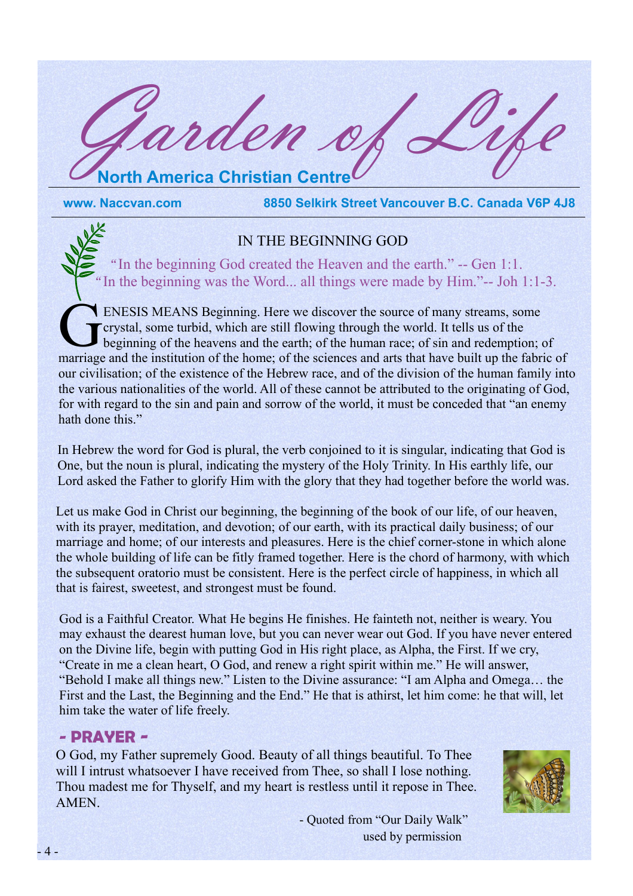Garden of Life

**North America Christian Centre**

**[www. Naccvan.com 8](http://www.naccvan.com/)850 Selkirk Street Vancouver B.C. Canada V6P 4J8**

## IN THE BEGINNING GOD

 "In the beginning God created the Heaven and the earth." -- Gen 1:1. In the beginning was the Word... all things were made by  $\text{Him.}$ " $\text{-}$  Joh 1:1-3.

ENESIS MEANS Beginning. Here we discover the source of many streams, some crystal, some turbid, which are still flowing through the world. It tells us of the beginning of the heavens and the earth; of the human race; of sin and redemption; of ENESIS MEANS Beginning. Here we discover the source of many streams, some crystal, some turbid, which are still flowing through the world. It tells us of the beginning of the heavens and the earth; of the human race; of si our civilisation; of the existence of the Hebrew race, and of the division of the human family into the various nationalities of the world. All of these cannot be attributed to the originating of God, for with regard to the sin and pain and sorrow of the world, it must be conceded that "an enemy hath done this."

In Hebrew the word for God is plural, the verb conjoined to it is singular, indicating that God is One, but the noun is plural, indicating the mystery of the Holy Trinity. In His earthly life, our Lord asked the Father to glorify Him with the glory that they had together before the world was.

Let us make God in Christ our beginning, the beginning of the book of our life, of our heaven, with its prayer, meditation, and devotion; of our earth, with its practical daily business; of our marriage and home; of our interests and pleasures. Here is the chief corner-stone in which alone the whole building of life can be fitly framed together. Here is the chord of harmony, with which the subsequent oratorio must be consistent. Here is the perfect circle of happiness, in which all that is fairest, sweetest, and strongest must be found.

God is a Faithful Creator. What He begins He finishes. He fainteth not, neither is weary. You may exhaust the dearest human love, but you can never wear out God. If you have never entered on the Divine life, begin with putting God in His right place, as Alpha, the First. If we cry, "Create in me a clean heart, O God, and renew a right spirit within me." He will answer, "Behold I make all things new." Listen to the Divine assurance: "I am Alpha and Omega… the First and the Last, the Beginning and the End." He that is athirst, let him come: he that will, let him take the water of life freely.

### **- PRAYER -**

O God, my Father supremely Good. Beauty of all things beautiful. To Thee will I intrust whatsoever I have received from Thee, so shall I lose nothing. Thou madest me for Thyself, and my heart is restless until it repose in Thee. **AMEN** 



 - Quoted from "Our Daily Walk" used by permission